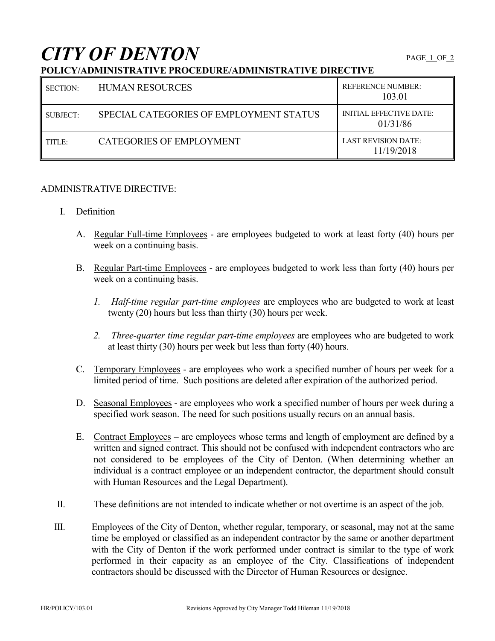## *CITY OF DENTON* PAGE 1 OF 2

## **POLICY/ADMINISTRATIVE PROCEDURE/ADMINISTRATIVE DIRECTIVE**

| SECTION: | <b>HUMAN RESOURCES</b>                  | <b>REFERENCE NUMBER:</b><br>103.01         |
|----------|-----------------------------------------|--------------------------------------------|
| SUBJECT: | SPECIAL CATEGORIES OF EMPLOYMENT STATUS | <b>INITIAL EFFECTIVE DATE:</b><br>01/31/86 |
| TITLE:   | <b>CATEGORIES OF EMPLOYMENT</b>         | LAST REVISION DATE:<br>11/19/2018          |

## ADMINISTRATIVE DIRECTIVE:

- I. Definition
	- A. Regular Full-time Employees are employees budgeted to work at least forty (40) hours per week on a continuing basis.
	- B. Regular Part-time Employees are employees budgeted to work less than forty (40) hours per week on a continuing basis.
		- *1. Half-time regular part-time employees* are employees who are budgeted to work at least twenty (20) hours but less than thirty (30) hours per week.
		- *2. Three-quarter time regular part-time employees* are employees who are budgeted to work at least thirty (30) hours per week but less than forty (40) hours.
	- C. Temporary Employees are employees who work a specified number of hours per week for a limited period of time. Such positions are deleted after expiration of the authorized period.
	- D. Seasonal Employees are employees who work a specified number of hours per week during a specified work season. The need for such positions usually recurs on an annual basis.
	- E. Contract Employees are employees whose terms and length of employment are defined by a written and signed contract. This should not be confused with independent contractors who are not considered to be employees of the City of Denton. (When determining whether an individual is a contract employee or an independent contractor, the department should consult with Human Resources and the Legal Department).
- II. These definitions are not intended to indicate whether or not overtime is an aspect of the job.
- III. Employees of the City of Denton, whether regular, temporary, or seasonal, may not at the same time be employed or classified as an independent contractor by the same or another department with the City of Denton if the work performed under contract is similar to the type of work performed in their capacity as an employee of the City. Classifications of independent contractors should be discussed with the Director of Human Resources or designee.